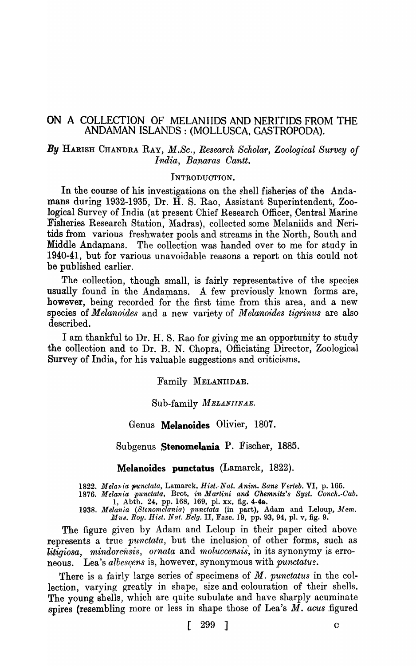## ON A COLLECTION OF MELANIIDS AND NERITIDS FROM THE ANDAMAN ISLANDS: (MOLLUSCA, GASTROPODA).

## *By* HARISH CHANDRA RAY, *M.Sc., Research Scholar, Zoological Survey oj India, Banaras Cantt.*

## INTRODUCTION.

In the course of his investigations on the shell fisheries of the Andamans during 1932-1935, Dr. H. S. Rao, Assistant Superintendent, Zoological Survey of India (at present Chief Research Officer, Central Marine Fisheries Research Station, Madras), collected some Melaniids and Neritids from various freshwater pools and streams in the North, South and Middle Andamans. The collection was handed over to me for study in 1940-41, but for various unavoidable reasons a report on this could not be published earlier.

The collection, though small, is fairly representative of the species usually found in the Andamans. A few previously known forms are, however, being recorded for the first time from this area, and a new species of *M elanoides* and a new variety of *M elanoides tigrinus* are also described.

I am thankful to Dr. H. S. Rao for giving me an opportunity to study the collection and to Dr. B. N. Chopra, Officiating Director, Zoological Survey of India, for his valuable suggestions and criticisms.

Family MELANIIDAE.

### Sub-family *MELANIINAE.*

### Genus Melanoides Olivier, 1807.

Subgenus Stenomelania P. Fischer, 1885.

Melanoides punctatus (Lamarck, 1822).

1822. *Melaria punctata*, Lamarck, *Hist.·Nat. Anim. Sans Verteb.* VI, p. 165.

*1876. Melania punciata,* Brot, *in Martini and Ohemnitz's Byst. Oonch.-Cab.*  1, Ahth. 24, pp. 168, 169, pI. xx, fig. 4-4a.

1938. Melania (Stenomelania) punctata (in part), Adam and Leloup, Mem. *Mus. Roy. Hist. Nat. Belg. II, Fasc. 19, pp. 93, 94, pl. v, fig. 9.* 

The figure given by Adam and Leloup in their paper cited above **represents** a true *punctata*, but the inclusion of other forms, such as *litigiosa, mindorensis, ornata* and *moluccensis*, in its synonymy is erroneous. Lea's *albescens* is, however, synonymous with *punctatus*.

There is a fairly large series of specimens of *M. punctatus* in the collection, varying greatly in shape, size and colouration of their shells. The young shells, which are quite subulate and have sharply acuminate spires (resembling more or less in shape those of Lea's  $\overline{M}$ . acus figured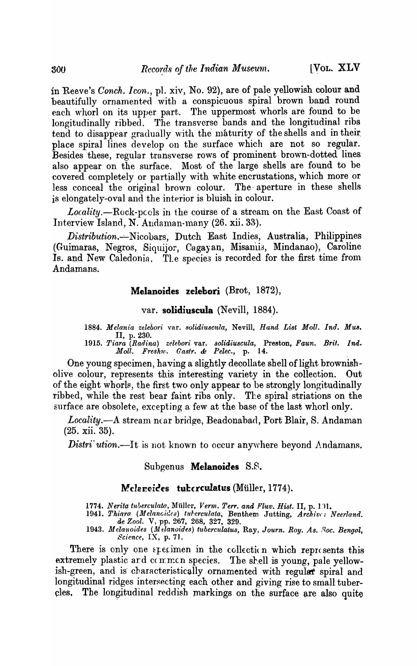in Reeve's *Conch. Icon.*, pl. xiv, No. 92), are of pale yellowish colour and beautifully ornamented with a conspicuous spiral brown band round each whorl on its upper part. The uppermost whorls are found to be longitudinally ribbed. The transverse bands and the longitudinal ribs tend to disappear gradually with the maturity of the shells and in their place spiral lines develop on the surface which are not so regular. Besides these, regular transverse rows of prominent brown-dotted lines also appear on the surface, Most of the large shells are found to be covered completely or partially with white encrustations, which more or less conceal the original brown colour. The· aperture in these shells is elongately-oval and the interior is bluish in colour.

Locality.--Rock-pcols in the course of a stream on the East Coast of Interview Island, N. Andaman-many (26. xii. 33).

*Distribution.-:.-Nicobars,* Dutch East Indies, Australia, Philippines (Guimaras, Negros, Siquijor, Cagayan, Misanli3, Mindanao), Caroline Is. and New Caledonia. The species is recorded for the first time from Andamans.

## Melanoides zelebori (Brot, 1872),

# var. solidiuscula (Nevill, 1884).

1884. Melania zelebori var. solidiuscula, Nevill, *Hand List Moll. Ind. Mus.* II, p.230.

*1915. Tiara (Rad·ina) zelebori* var. *solid·iuscula,* Preston, *Faun. Brit. Ind. Moll. Freshw. Castro* & *Pelec.,* p. 14. .

One young specimen, having a slightly decollate shell of light brownisholive colour, represents this interesting variety in the collection. Out of the eight whorls, the first two only appear to be strongly longitudinally ribbed, while the rest bear faint ribs only. The spiral striations on the surface are obsolete, excepting a few at the base of the last whorl only.

Locality.—A stream near bridge, Beadonabad, Port Blair, S. Andaman (25. xii. 35).

*Distri' ution.*—It is not known to occur anywhere beyond Andamans.

## Subgenus Melanoides 8.B.

### Melancides tuberculatus (Müller, 1774).

1774. Nerita tuberculata, Müller, *Verm. Terr. and Fluv. Hist.* II, p. 101.

1941. *Thiaro (Melanoides) tulerculata, Benthem Jutting, Archives Neerland. de Zool.* V, pp. 267, 268, 327, 329.

**1943. Melanoides (Melanoides) tubcrculatus, Ray, Journ. Roy. As. Soc. Bengol,**  $\mathcal{S}$ cience, IX, p. 71.

There is only one specimen in the collection which reprosents this extremely plastic ard  $\alpha$  mmcn species. The shell is young, pale yellowish-green, and is characteristically ornamented with regular spiral and longitudinal ridges intersecting each other and giving rise to small tubercles. The longitudinal reddish markings on the surface are also quite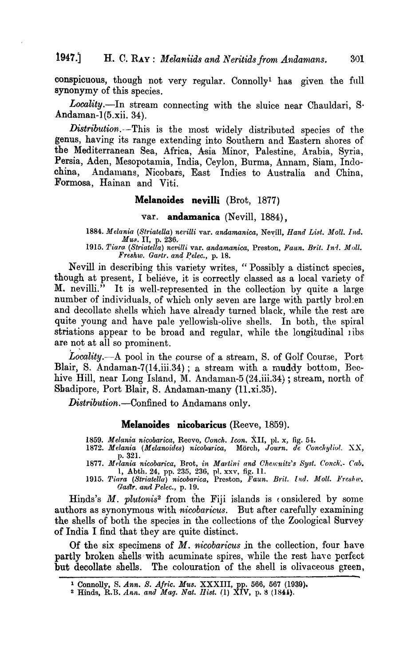conspicuous, though not very regular. Connolly<sup>1</sup> has given the full synonymy of this species.

Locality.-In stream connecting with the sluice near Chauldari, S. .Andaman-l(5.xii. 34).

*Distribution..--This* is the most widely distributed species of the genus, having its range extending into Southern and Eastern shores of the Mediterranean Sea, Africa, Asia Minor, Palestine, Arabia, Syria, Persia, Aden, Mesopotamia, India, Ceylon, Burma, Annam, Siam, Indo-.china, Andalnans, Nicobars, East Indies to Australia and China, Formosa, Hainan and Viti.

### Melanoides nevilli (Brot, 1877)

var. andamanica (Nevill, 1884),

1884. Melania (Striatella) nevilli var. *andamanica*, Nevill, *Hand List. Moll. Ind.* Mus. II, p. 236.

*1915. 'l'iaro. (St1'iatella) 11.e'l,illi* var. *andamanica,* Preston, *Faun. Brit. Inri. Moll.*   $F$ *reshw. Gastr. and Pelec., p. 18.* 

Nevill in describing this variety writes, "Possibly a distinct species, though at present, I believe, it is correctly classed as a local variety of M. nevilli." It is well-represented in the collection by quite a large number of individuals, of which only seven are large with partly brolen and decollate shells which have already turned black, while the rest are quite young and have pale yellowish-olive shells. In both, the spiral striations appear to be broad and regular, while the longitudinal ribs are not at all so prominent.

Locality.—A pool in the course of a stream, S. of Golf Course, Port Blair, S. Andaman-7(14.iii.34); a stream with a muddy bottom, Beehive Hill, near Long Island, M. Andaman-5 (24.iii.34); stream, north of Sbadipore, Port Blair, S. Andaman-many (11.xi.35).

*Distribution.-Confined* to Andamans only.

### Melanoides nicobaricus (Reeve, 1859).

*1859. Melania nicobarica,* Reevo, *Oonch.. Icon.* XII, pI. x, fig. 5-1.

1872. Melania (Melanoides) nicobarica, Mörch, Journ. de Conchylivl. XX, p.321.

1877. *Melania nicobarica, Brot, in Martini and Chemnitz's Syst. Conch.*- *Cab.* 1, Abth. 24, pp. 235, 236, pI. xxv, fig. II.

1915. Tiara (Striatella) nicobarica, Preston, Faun. Brit. Ind. Moll. Freskw. *GasYr. and Pelcc.,* p. 19.

Hinds's  $M$ . *plutonis*<sup>2</sup> from the Fiji islands is considered by some authors as synonymous with *nicobaricus.* But after carefully examining the shells of both the species in the collections of the Zoological SUTvey of India I find that they are quite distinct.

Of the six specimens of *M. nicobaricus in* the collection, four hayc partly broken shells:with acuminate spires, while the rest have perfect but decollate shells. The colouration of the shell is olivaceous green,

<sup>1</sup> Connolly, S. *Ann. S. A/ric. MU8.* XXXIII, pp. 566, 567 (1939).

<sup>2</sup> Hinds, R.B. *Ann. ana Mag. Nat. 1JiBt.* (1) XIV, p. 8 (184i).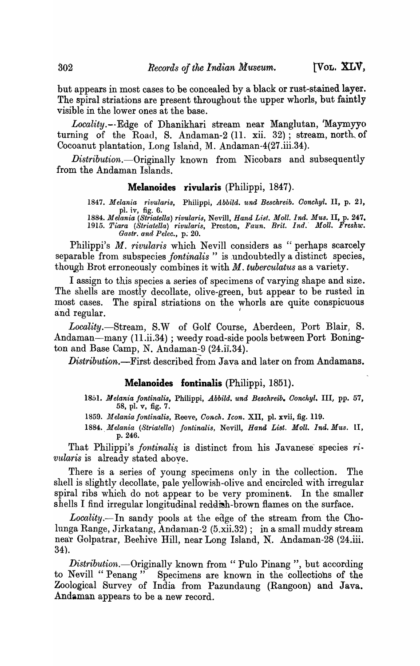but appears in most cases to be concealed by a black or rust-stained layer. The spiral striations are present throughout the upper whorls, but faintly visible in the lower ones at the base.

Locality.--Edge of Dhanikhari stream near Manglutan, 'Maymyyo turning of the Road, S. Andaman-2 (11. xii. 32); stream, north, of Cocoanut plantation, Long Island, M. Andaman-4(27.iii.34).

 $Distribution$ . Originally known from Nicobars and subsequently from the Andaman Islands.

### **Melanoides rivularis** (Philippi, 1847).

*1847. Melania rivularis,* Philippi, *Abbild. 'ltnd Beschreib. Ooncltyl.* II, p. 2], pI. iv, fig. 6.

*1884. Melania (Striatella) rivularis,* Nevill, *Hana List. Moll. Ind. Mus.* II, p. 247. *1915. Tiara (Striatella) rivularis,* Preston, *Faun. Brit. Ind.' jfoll. Freshw. Gastr. and Pelec., p. 20.* 

Philippi's *M. rivularis* which Nevill considers as "perhaps scarcely separable from subspecies *fontinalis* " is undoubtedly a distinct species, though Brot erroneously combines it with M. *tuberculatus* as a variety.

I assign to this species a series of specimens of varying shape and size. The shells are mostly decollate, olive-green, but appear to be rusted in most cases. The spiral striations on the whorls are quite conspicuous and regular.

*Locality.-Stream,* S.W of Golf Course, Aberdeen, Port Blair, S. Andaman-many (11.ii.34) ; weedy road-side pools between Port Bonington and Base Camp, N. Andaman-9  $(24.ii.34)$ .

*Distribution.-First* described from Java and later on from Andamans.

### **Melanoides fontinalis** (Philippi, 1851).

- 1851. *Melania fontinalis*, Philippi, Abbild. und Beschreib. Conchyl. III, pp. 57, 58, pI. v, fig. 7.
- *1859. ]felania fontinalis,* Reeve, *Conch .• Icon.* XII, pl. xvii, fig. 119.
- *1884 •. Melania (Striatella) fontinalis,* Nevill, *Hand List. Moll. Ina. Mus.* II, p.246.

That Philippi's *fontinalis* is distinct from his Javanese species  $ri$ . *vularis* is already stated aboye.

There is a series of young specimens only in the collection. The shell is slightly decollate, pale yellowish-olive and encircled with irregular spiral ribs which do not appear to be very prominent. In the smaller shells I find irregular longitudinal reddish-brown flames on the surface.

Locality.—In sandy pools at the edge of the stream from the Cholunga Range, Jirkatang, Andaman-2 (5.xii.32); in a small muddy stream near Golpatrar, Beehive Hill, near Long Island, N. Andaman-28 (24.iii. 34).

*Distribution.*--Originally known from " Pulo Pinang", but according to Nevill " Penang" Specimens are known in the collections of the Specimens are known in the collections of the Zoological Survey of India from Pazundaung (Rangoon) and Java. Andaman appears to be a new record.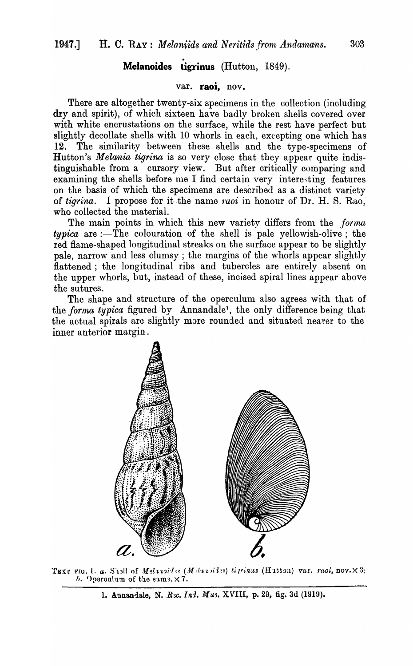# • **Melanoides ligrinus** (Hutton, 1849).

## **var. raoi,** nov.

There are altogether twenty-six specimens in the collection (including dry and spirit), of which sixteen have badly broken shells covered over with white encrustations on the surface, while the rest have perfect but slightly decollate shells with 10 whorls in each, excepting one which has 12. The similarity between these shells and the type-specimens of Hutton's *Melania tigrina* is so very close that they appear quite indistinguishable from a cursory view. But after critically comparing and examining the shells before me I find certain very interesting features on the basis of which the specimens are described as a distinct variety of *tigrina*. I propose for it the name *raoi* in honour of Dr. H. S. Rao, who collected the material.

The main points in which this new variety differs from the *forma*  $\it{typica}$  are :-The colouration of the shell is pale yellowish-olive; the red flame-shaped longitudinal streaks on the surface appear to be slightly pale, narrow and less clumsy; the margins of the whorls appear slightly flattened; the longitudinal ribs and tubercles are entirely absent on the upper whorls, but, instead of these, incised spiral lines appear above the sutures.

The shape and structure of the operculum also agrees with that of the *forma typica* figured by Annandale<sup>1</sup>, the only difference being that the actual spirals are slightly more rounded and situated nearer to the inner anterior margin.



TEXT FIG. 1. a. S'13ll of *Meluvid's* (*Meluvid's*) *ti prinus* (Hutton) var. *raoi*, nov. ×3; *h.* Operculum of the same. × 7.

1. Annan-iale, *N. R2c. In1. Mus. XVIII*, p. 29, fig. 3d (1919).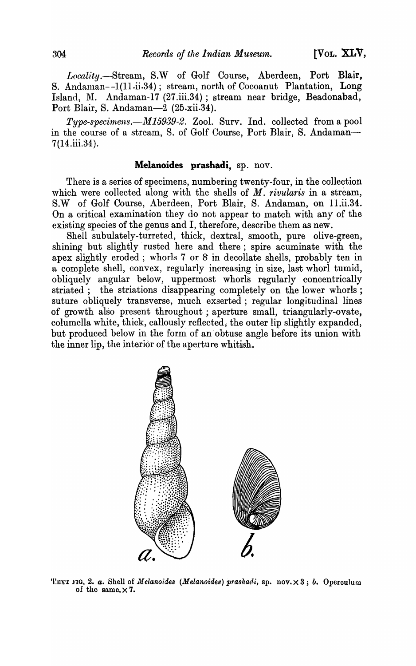*Local'l:ty.-Stream,* S.W of Golf Course, Aberdeen, Port Blair, S. Andaman--1(11.ii.34); stream, north of Cocoanut Plantation, Long Island, M. Andaman-17 (27.iii.34) ; stream near bridge, Beadonabad, Port Blair, S. Andaman-2 (25.xii.34).

*Type-specimens.—M15939-2.* Zool. Surv. Ind. collected from a pool in the course of a stream, S. of Golf Course, Port Blair, S. Andaman-7(14.iii.34}. .

## **Melanoides prashadi,** sp. nov.

There is a series of specimens, numbering twenty-four, in the collection which were collected along with the shells of *M. rivularis* in a stream, S.W of Golf Course, Aberdeen, Port Blair, S. Andaman, on ll.ii.34. On a critical examination they do not appear to Inatch with any of the existing species of the genus and I, therefore, describe them as new.

Shell subulately-turreted, thick, dextral, smooth, pure olive-green, shining but slightly rusted here and there; spire acuminate with the apex slightly eroded; whorls 7 or 8 in decollate shells, probably ten in a complete shell, convex, regularly increasing in size, last whorl tumid, obliquely angular below, uppermost whorls regularly concentrically striated; the striations disappearing completely on the lower whorls; suture obliquely transverse, much exserted; regular longitudinal lines of growth also present throughout; aperture small, triangularly-ovate, columella white, thick, callously reflected, the outer lip slightly expanded, but produced below in the form of an' obtuse angle before its union with the inner lip, the interior of the aperture whitish.



'l'EXT FIG. 2. *a.* Shell of *Melanoides (Melanoides) prashadi*, sp. nov. × 3; *b.* Operculum of the same. $\times 7$ .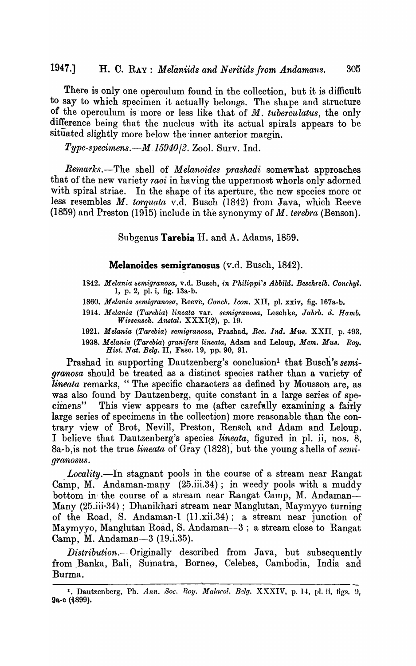There is only one operculum found in the collection, but it is difficult to say to which specimen it actually belongs. The shape and structure of the operculum is'lnore or less like that of *M. tubercu latus,* the only difference being that the nucleus with its actual spirals appears to be situated slightly more below the inner anterior margin.

*Type-specimens.-M.15940j2.* Zool. Surv. Ind.

*Remarks.-The* shell of *Melanoides prashadi* somewhat approaches that of the new variety *raoi* in having the uppermost whorls only adorned with spiral striae. In the shape of its aperture, the new species more or less resembles M. *torquata* v.d. Busch (1842) from Java, which Reeve (1859) and Preston (1915) include in the synonymy of M. *terebra* (Benson).

Subgenus **Tarebia** H. and A. Adams, 1859.

### **Melanoides semigranosus** (v.d. Busch, 1842).

- 1842. Melania semigranosa, v.d. Busch, *in Philippi's Abbild. Beschreib. Conchyl.* 1, p. 2, pl. i, fig. 13a-b.
- *1860. Melania semigranoso,* Reeve, *Conch. Icon.* XII, pl. xxiv, fig. 167a-b.
- *1914. Melania (Tarebia) lineata* var. *semigranosa,* Lesohke, *Jahrb. d. Ba.mb. Wissensch. Anstal,* XXXI(2), p. 19.
- 1921. *Melania (Tarebia) semigranosa, Prashad, Rec. Ind. Mus. XXII. p.* 493. *1938. Melania (Tarebia) granifera lineata,* Adam and Leloup, *Mem. Mus. Roy. Hist. Nat. Belg.* II, Fasc. 19, pp.90, 9l.

Prashad in supporting Dautzenberg's conclusion<sup>1</sup> that Busch's *semigranosa* should be treated as a distinct species rather than a variety of *lineata* remarks, " The specific characters as defined by Mousson are, as was also found by Dautzenberg, quite constant in a large series of specimens" This view appears to me (after carefully examining a fairly large series of specimens in the collection) more reasonable than the contrary view of Brot, Nevill, Preston, Rensch and Adam and Leloup. I believe that Dautzenberg's species *lineata*, figured in pl. ii, nos. 8, 8a-b, is not the true *lineata* of Gray (1828), but the young shells of *semigranosus.* 

*Locality*.-In stagnant pools in the course of a stream near Rangat Camp, M. Andaman-many (25.iii.34); in weedy pools with a muddy bottom in the course of a stream near Rangat Camp, M. Andaman-Many (25.iii·34); Dhanikhari stream near Manglutan, Maymyyo turning of the Road, S. Andaman-1  $(11.xii.34)$ ; a stream near junction of Maymyyo, Manglutan Road, S. Andaman-3 ; a stream close to Rangat Camp, M. Andaman-3 (19.i.35).

*Distribution.-Originally* described from Java., but subsequently from Banka, Bali, Sumatra, Borneo, Celebes, Cambodia, India and Burma.

<sup>&</sup>lt;sup>1</sup>. Dautzenberg, Ph. Ann. Soc. Roy. Malacol. Belg. XXXIV, p. 14, pl. ii, figs. 9, 9a-c (1899).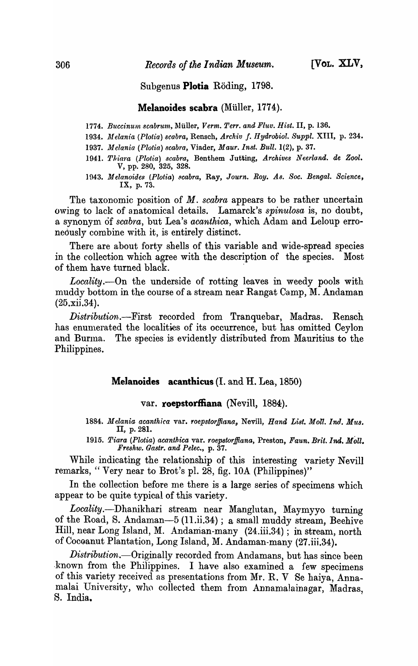## Subgenus Plotia Röding, 1798.

### Melanoides scabra (Müller, 1774).

- 1774. Buccinum scabrum, Müller, *Verm. Terr. and Fluv. Hist.* II, p. 136.
- 1934. Melania (Plotia) scabra, Rensch, Archiv f. Hydrobiol. Suppl. XIII, p. 234.
- *1937. Jtfelania (Plotia) scabra,* Viader, *Maur.1nst. Bull.* 1(2), p. 37.
- 1941. Thiara (Plotia) scabra, Benthem Jutting, Archives Neerland. de Zool. V, pp. 280, 325, 328.
- 1943. Melanoides (Plotia) *scabra*, Ray, *Journ. Roy. As. Soc. Bengal. Science*, IX, p. 73.

The taxonomic position of *M. scabra* appears to be rather uncertain owing to lack of anatomical details. Lamarck's *spinulosa* is, no doubt, a synonym of *scabra*, but Lea's *acanthica*, which Adam and Leloup erroneously combine with it, is entirely distinct.

There are about forty shells of this variable and wide-spread species in the collection which agree with the description of the species. Most of them have turned black. .

*Locality.-On* the underside of rotting leaves in weedy pools with muddy bottom in the course of a stream near Rangat Camp, M. Andaman  $(25.xii.34).$ 

*Distribution.-First* recorded from Tranquebar, Madras. Rensch has enumerated the localities of its occurrence, but has omitted Ceylon and Burma. The species is evidently distributed from Mauritius to the Philippines.

## Melanoides acanthicus (I. and H. Lea, 1850)

## var. roepstorffiana (Nevill, 1884).

*1884. Melania acanthica* var. *roepstorlfiana,* Nevill, *Hand, List. Moll. 1nil. Mus.*  II, p.281.

*1915. Tiara (Plotia) acanth.ica* var. *roepstorffiana,* Preston, *Faun. Brit. Ind.* Moll. *Freshw. Gastr. and Pelec.,* p. 37.

While indicating the relationship of this interesting variety Nevill remarks, " Very near to Brot's pI. 28, fig. *lOA* (Philippines)"

In the collection before me there is a large series of specimens which appear to be quite typical of this variety.

*Locality.-Dhanikhari* stream near Manglutan, Maymyyo turning of the Road, S. Andaman-5 (11.ii.34); a small muddy stream, Beehive Hill, near Long Island, M. Andanian-many (24.iii.34); in stream, north of Coceanut Plantation, Long Island, M. Andaman-many (27.iii.34).

*Distribut'ion.-Originally* recorded from Andamans, but has since been known from the Philippines. I have also examined a few specimens of this variety received as presentations from Mr. R. V Se haiya, Annamalai University, who collected them from Annamalainagar, Madras, S. India.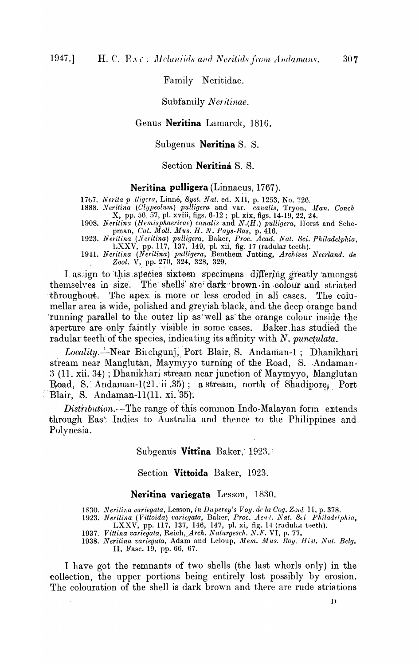Family Neritidae.

Subfamily Neritinae.

## Genus **Neritina** Lamarck, 1810.

Subgenus **Neritina** S. S.

Section **Neritina** S. S.

### Neritina pulligera *(Linnaeus, 1767)*.

1767. *Nerita p Jligera*, Linné, *Syst. Nat.* ed. XII, p. 1253, No. 726.

1888. Neritina (Clypeolum) pulligera and var. *canalis*, Tryon, Man. Conch X, pp. 56, 57, pI. xviii, figs. 6-12; pI. xix, figs. 14-19, 22, 24:.

*1908. Neritina (Hemisphaericae) canalis* and *N.(H.) pulligera,* Horst and Schepman, *Cat. Moll. Mus. H. N. Pays-Bas,* p.416.

*1923. Neritina (,Neritina) pulligera,* Baker, *Proc. Acad. Nat. Sci. Philadelphia,*  LXXV, pp. 117, 137, 149, pl. xii, fig. 17 (radular teeth).

1941. *Neritina (Neritina) pulligera, Benthem Jutting, Archives Neerland. de* Zool. V, pp. 270, 324, 328, 329.

I as ign to this species sixteen specimens differing greatly amongst themselves in size. The shells' are dark brown in colour and striated throughout. The apex is more or less eroded in all cases. The columellar area is wide, polished and greyish black, and the deep orange band 'running parallel to the outer lip as well as the orange colour inside the aperture are only faintly visible in some cases. Baker has studied the radular teeth of the species, indicating its affinity with  $N$ , *punctulata*.

Locality.<sup>1</sup>-Near Birchgunj, Port Blair, S. Andaman-1; Dhanikhari stream near Manglutan, Maymyyo turning of the Road, S. Andaman-3 (11. xii. 34); Dhanikhari stream near junction of Maymyyo, Manglutan Road, S. Andaman-1(21. ii .35); a stream, north of Shadipore, Port  $\Box$ Blair, S. Andaman-11(11. xi. 35).

 $Distribution. -The range of this common Indo-Malayan form extends$ through East Indies to Australia and thence to the Philippines and Polynesia.

Subgenus Vittina Baker, 1923.

Section **Vittoida** Baker, 1923.

#### **Neritina variegata** Lesson, 1830.

1830. *Nerilina variegata, Lesson, in Duperey's Voy. de la Cog. Zool* II, p. 378.

1923. Nerilina (Vittoida) variegata, Baker, *Proc. Acad. Nat. Sci Philadelphia*, LXXV, pp. 117, 137, 146, 147, pl. xi, fig. 14 (radultat teeth).

1937. *Vittina variegata, Reich, Arch. Naturgesch. N.F. VI, p. 77.* 

1938. Neritina variegata, Adam and Leloup, Mem. Mus. Roy. Hist. Nat. Belg. II, Fasc. 19, pp. 66, 67.

I have got the remnants of two shells (the last whorls only) in the collection, the upper portions being entirely lost possibly by erosion. The colouration of the shell is dark brown and there are rude striations